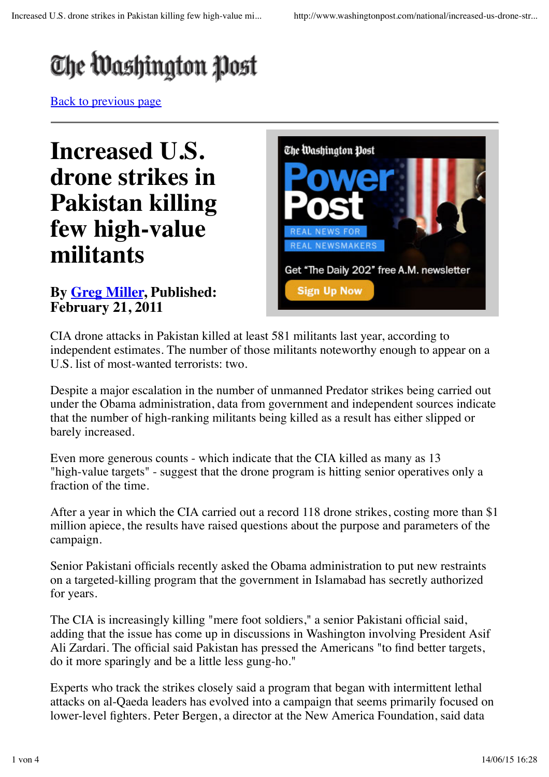## The Washington Post

Back to previous page

## **Increased U.S. drone strikes in Pakistan killing few high-value militants**



## **By Greg Miller, Published: February 21, 2011**

CIA drone attacks in Pakistan killed at least 581 militants last year, according to independent estimates. The number of those militants noteworthy enough to appear on a U.S. list of most-wanted terrorists: two.

Despite a major escalation in the number of unmanned Predator strikes being carried out under the Obama administration, data from government and independent sources indicate that the number of high-ranking militants being killed as a result has either slipped or barely increased.

Even more generous counts - which indicate that the CIA killed as many as 13 "high-value targets" - suggest that the drone program is hitting senior operatives only a fraction of the time.

After a year in which the CIA carried out a record 118 drone strikes, costing more than \$1 million apiece, the results have raised questions about the purpose and parameters of the campaign.

Senior Pakistani officials recently asked the Obama administration to put new restraints on a targeted-killing program that the government in Islamabad has secretly authorized for years.

The CIA is increasingly killing "mere foot soldiers," a senior Pakistani official said, adding that the issue has come up in discussions in Washington involving President Asif Ali Zardari. The official said Pakistan has pressed the Americans "to find better targets, do it more sparingly and be a little less gung-ho."

Experts who track the strikes closely said a program that began with intermittent lethal attacks on al-Qaeda leaders has evolved into a campaign that seems primarily focused on lower-level fighters. Peter Bergen, a director at the New America Foundation, said data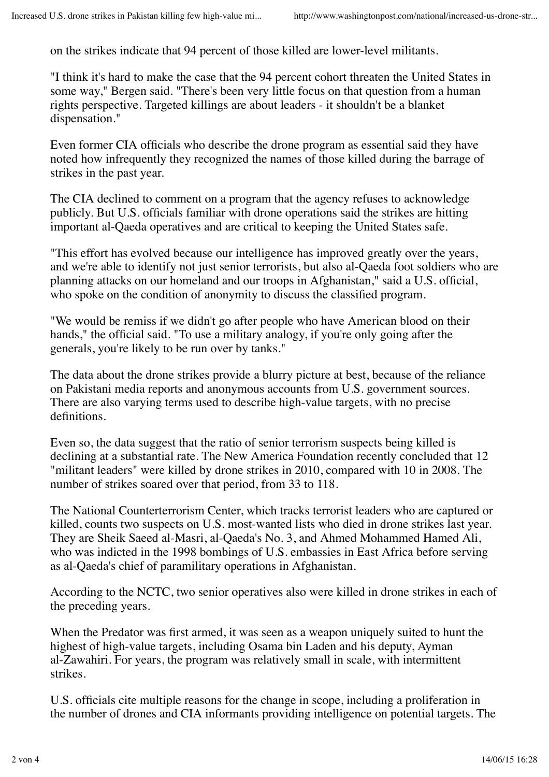on the strikes indicate that 94 percent of those killed are lower-level militants.

"I think it's hard to make the case that the 94 percent cohort threaten the United States in some way," Bergen said. "There's been very little focus on that question from a human rights perspective. Targeted killings are about leaders - it shouldn't be a blanket dispensation."

Even former CIA officials who describe the drone program as essential said they have noted how infrequently they recognized the names of those killed during the barrage of strikes in the past year.

The CIA declined to comment on a program that the agency refuses to acknowledge publicly. But U.S. officials familiar with drone operations said the strikes are hitting important al-Qaeda operatives and are critical to keeping the United States safe.

"This effort has evolved because our intelligence has improved greatly over the years, and we're able to identify not just senior terrorists, but also al-Qaeda foot soldiers who are planning attacks on our homeland and our troops in Afghanistan," said a U.S. official, who spoke on the condition of anonymity to discuss the classified program.

"We would be remiss if we didn't go after people who have American blood on their hands," the official said. "To use a military analogy, if you're only going after the generals, you're likely to be run over by tanks."

The data about the drone strikes provide a blurry picture at best, because of the reliance on Pakistani media reports and anonymous accounts from U.S. government sources. There are also varying terms used to describe high-value targets, with no precise definitions.

Even so, the data suggest that the ratio of senior terrorism suspects being killed is declining at a substantial rate. The New America Foundation recently concluded that 12 "militant leaders" were killed by drone strikes in 2010, compared with 10 in 2008. The number of strikes soared over that period, from 33 to 118.

The National Counterterrorism Center, which tracks terrorist leaders who are captured or killed, counts two suspects on U.S. most-wanted lists who died in drone strikes last year. They are Sheik Saeed al-Masri, al-Qaeda's No. 3, and Ahmed Mohammed Hamed Ali, who was indicted in the 1998 bombings of U.S. embassies in East Africa before serving as al-Qaeda's chief of paramilitary operations in Afghanistan.

According to the NCTC, two senior operatives also were killed in drone strikes in each of the preceding years.

When the Predator was first armed, it was seen as a weapon uniquely suited to hunt the highest of high-value targets, including Osama bin Laden and his deputy, Ayman al-Zawahiri. For years, the program was relatively small in scale, with intermittent strikes.

U.S. officials cite multiple reasons for the change in scope, including a proliferation in the number of drones and CIA informants providing intelligence on potential targets. The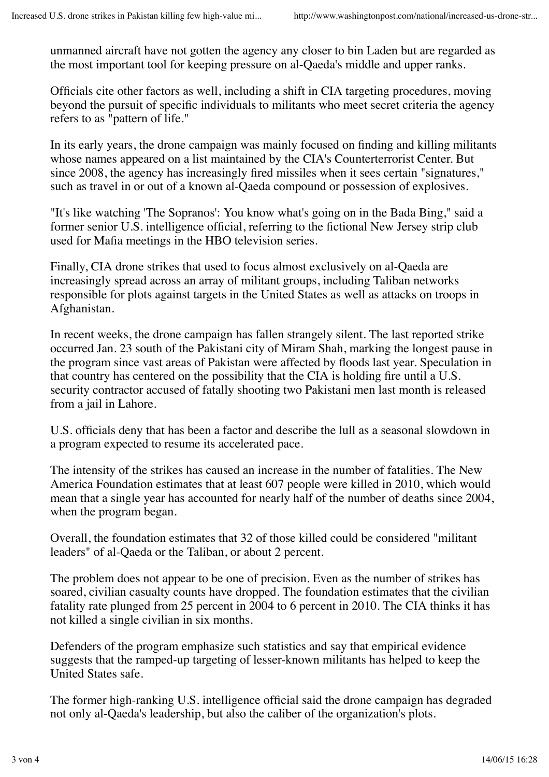unmanned aircraft have not gotten the agency any closer to bin Laden but are regarded as the most important tool for keeping pressure on al-Qaeda's middle and upper ranks.

Officials cite other factors as well, including a shift in CIA targeting procedures, moving beyond the pursuit of specific individuals to militants who meet secret criteria the agency refers to as "pattern of life."

In its early years, the drone campaign was mainly focused on finding and killing militants whose names appeared on a list maintained by the CIA's Counterterrorist Center. But since 2008, the agency has increasingly fired missiles when it sees certain "signatures," such as travel in or out of a known al-Qaeda compound or possession of explosives.

"It's like watching 'The Sopranos': You know what's going on in the Bada Bing," said a former senior U.S. intelligence official, referring to the fictional New Jersey strip club used for Mafia meetings in the HBO television series.

Finally, CIA drone strikes that used to focus almost exclusively on al-Qaeda are increasingly spread across an array of militant groups, including Taliban networks responsible for plots against targets in the United States as well as attacks on troops in Afghanistan.

In recent weeks, the drone campaign has fallen strangely silent. The last reported strike occurred Jan. 23 south of the Pakistani city of Miram Shah, marking the longest pause in the program since vast areas of Pakistan were affected by floods last year. Speculation in that country has centered on the possibility that the CIA is holding fire until a U.S. security contractor accused of fatally shooting two Pakistani men last month is released from a jail in Lahore.

U.S. officials deny that has been a factor and describe the lull as a seasonal slowdown in a program expected to resume its accelerated pace.

The intensity of the strikes has caused an increase in the number of fatalities. The New America Foundation estimates that at least 607 people were killed in 2010, which would mean that a single year has accounted for nearly half of the number of deaths since 2004, when the program began.

Overall, the foundation estimates that 32 of those killed could be considered "militant leaders" of al-Qaeda or the Taliban, or about 2 percent.

The problem does not appear to be one of precision. Even as the number of strikes has soared, civilian casualty counts have dropped. The foundation estimates that the civilian fatality rate plunged from 25 percent in 2004 to 6 percent in 2010. The CIA thinks it has not killed a single civilian in six months.

Defenders of the program emphasize such statistics and say that empirical evidence suggests that the ramped-up targeting of lesser-known militants has helped to keep the United States safe.

The former high-ranking U.S. intelligence official said the drone campaign has degraded not only al-Qaeda's leadership, but also the caliber of the organization's plots.